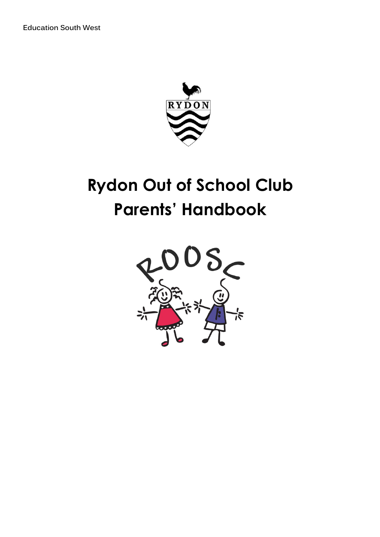**Education South West** 



# **Rydon Out of School Club Parents' Handbook**

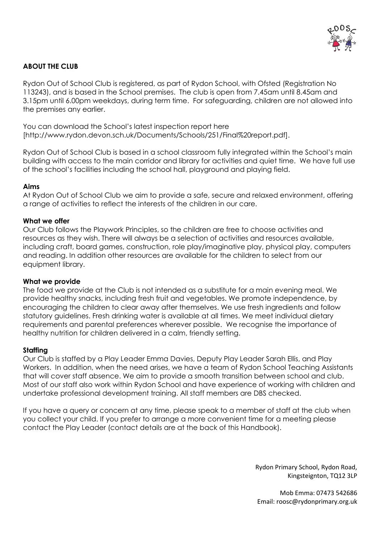

### **ABOUT THE CLUB**

Rydon Out of School Club is registered, as part of Rydon School, with Ofsted (Registration No 113243), and is based in the School premises. The club is open from 7.45am until 8.45am and 3.15pm until 6.00pm weekdays, during term time. For safeguarding, children are not allowed into the premises any earlier.

You can download the School's latest inspection report here [http://www.rydon.devon.sch.uk/Documents/Schools/251/Final%20report.pdf].

Rydon Out of School Club is based in a school classroom fully integrated within the School's main building with access to the main corridor and library for activities and quiet time. We have full use of the school's facilities including the school hall, playground and playing field.

### **Aims**

At Rydon Out of School Club we aim to provide a safe, secure and relaxed environment, offering a range of activities to reflect the interests of the children in our care.

### **What we offer**

Our Club follows the Playwork Principles, so the children are free to choose activities and resources as they wish. There will always be a selection of activities and resources available, including craft, board games, construction, role play/imaginative play, physical play, computers and reading. In addition other resources are available for the children to select from our equipment library.

### **What we provide**

The food we provide at the Club is not intended as a substitute for a main evening meal. We provide healthy snacks, including fresh fruit and vegetables. We promote independence, by encouraging the children to clear away after themselves. We use fresh ingredients and follow statutory guidelines. Fresh drinking water is available at all times. We meet individual dietary requirements and parental preferences wherever possible. We recognise the importance of healthy nutrition for children delivered in a calm, friendly setting.

### **Staffing**

Our Club is staffed by a Play Leader Emma Davies, Deputy Play Leader Sarah Ellis, and Play Workers. In addition, when the need arises, we have a team of Rydon School Teaching Assistants that will cover staff absence. We aim to provide a smooth transition between school and club. Most of our staff also work within Rydon School and have experience of working with children and undertake professional development training. All staff members are DBS checked.

If you have a query or concern at any time, please speak to a member of staff at the club when you collect your child. If you prefer to arrange a more convenient time for a meeting please contact the Play Leader (contact details are at the back of this Handbook).

> Rydon Primary School, Rydon Road, Kingsteignton, TQ12 3LP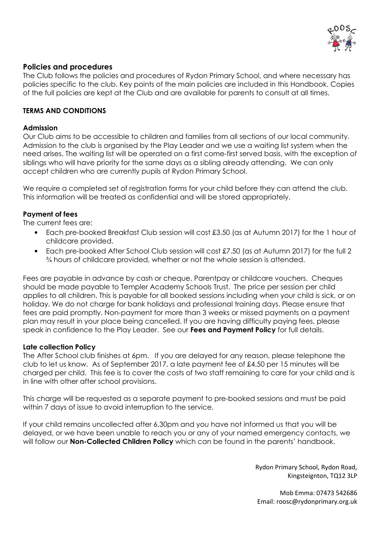

### **Policies and procedures**

The Club follows the policies and procedures of Rydon Primary School, and where necessary has policies specific to the club. Key points of the main policies are included in this Handbook. Copies of the full policies are kept at the Club and are available for parents to consult at all times.

### **TERMS AND CONDITIONS**

### **Admission**

Our Club aims to be accessible to children and families from all sections of our local community. Admission to the club is organised by the Play Leader and we use a waiting list system when the need arises. The waiting list will be operated on a first come-first served basis, with the exception of siblings who will have priority for the same days as a sibling already attending. We can only accept children who are currently pupils at Rydon Primary School.

We require a completed set of registration forms for your child before they can attend the club. This information will be treated as confidential and will be stored appropriately.

### **Payment of fees**

The current fees are:

- Each pre-booked Breakfast Club session will cost £3.50 (as at Autumn 2017) for the 1 hour of childcare provided.
- Each pre-booked After School Club session will cost £7.50 (as at Autumn 2017) for the full 2 ¾ hours of childcare provided, whether or not the whole session is attended.

Fees are payable in advance by cash or cheque, Parentpay or childcare vouchers. Cheques should be made payable to Templer Academy Schools Trust. The price per session per child applies to all children. This is payable for all booked sessions including when your child is sick, or on holiday. We do not charge for bank holidays and professional training days. Please ensure that fees are paid promptly. Non-payment for more than 3 weeks or missed payments on a payment plan may result in your place being cancelled. If you are having difficulty paying fees, please speak in confidence to the Play Leader. See our **Fees and Payment Policy** for full details.

### **Late collection Policy**

The After School club finishes at 6pm. If you are delayed for any reason, please telephone the club to let us know. As of September 2017, a late payment fee of £4.50 per 15 minutes will be charged per child. This fee is to cover the costs of two staff remaining to care for your child and is in line with other after school provisions.

This charge will be requested as a separate payment to pre-booked sessions and must be paid within 7 days of issue to avoid interruption to the service.

If your child remains uncollected after 6.30pm and you have not informed us that you will be delayed, or we have been unable to reach you or any of your named emergency contacts, we will follow our **Non-Collected Children Policy** which can be found in the parents' handbook.

> Rydon Primary School, Rydon Road, Kingsteignton, TQ12 3LP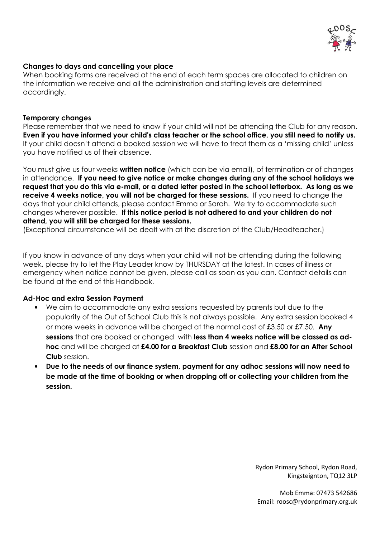

### **Changes to days and cancelling your place**

When booking forms are received at the end of each term spaces are allocated to children on the information we receive and all the administration and staffing levels are determined accordingly.

### **Temporary changes**

Please remember that we need to know if your child will not be attending the Club for any reason. **Even if you have informed your child's class teacher or the school office, you still need to notify us.** If your child doesn't attend a booked session we will have to treat them as a 'missing child' unless you have notified us of their absence.

You must give us four weeks **written notice** (which can be via email), of termination or of changes in attendance. **If you need to give notice or make changes during any of the school holidays we request that you do this via e-mail, or a dated letter posted in the school letterbox. As long as we receive 4 weeks notice, you will not be charged for these sessions.** If you need to change the days that your child attends, please contact Emma or Sarah. We try to accommodate such changes wherever possible. **If this notice period is not adhered to and your children do not attend, you will still be charged for these sessions.** 

(Exceptional circumstance will be dealt with at the discretion of the Club/Headteacher.)

If you know in advance of any days when your child will not be attending during the following week, please try to let the Play Leader know by THURSDAY at the latest. In cases of illness or emergency when notice cannot be given, please call as soon as you can. Contact details can be found at the end of this Handbook.

### **Ad-Hoc and extra Session Payment**

- We aim to accommodate any extra sessions requested by parents but due to the popularity of the Out of School Club this is not always possible. Any extra session booked 4 or more weeks in advance will be charged at the normal cost of £3.50 or £7.50. **Any sessions** that are booked or changed with **less than 4 weeks notice will be classed as adhoc** and will be charged at **£4.00 for a Breakfast Club** session and **£8.00 for an After School Club** session.
- **Due to the needs of our finance system, payment for any adhoc sessions will now need to be made at the time of booking or when dropping off or collecting your children from the session.**

Rydon Primary School, Rydon Road, Kingsteignton, TQ12 3LP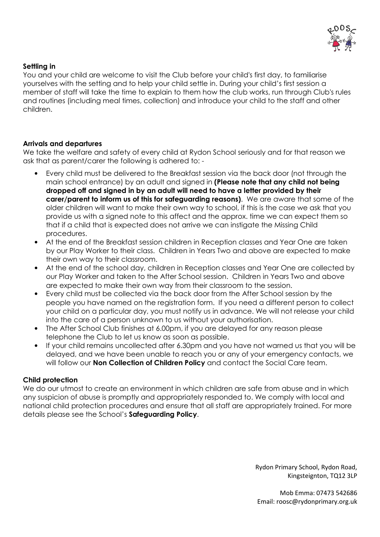

### **Settling in**

You and your child are welcome to visit the Club before your child's first day, to familiarise yourselves with the setting and to help your child settle in. During your child's first session a member of staff will take the time to explain to them how the club works, run through Club's rules and routines (including meal times, collection) and introduce your child to the staff and other children.

### **Arrivals and departures**

We take the welfare and safety of every child at Rydon School seriously and for that reason we ask that as parent/carer the following is adhered to: -

- Every child must be delivered to the Breakfast session via the back door (not through the main school entrance) by an adult and signed in **(Please note that any child not being dropped off and signed in by an adult will need to have a letter provided by their carer/parent to inform us of this for safeguarding reasons)**. We are aware that some of the older children will want to make their own way to school, if this is the case we ask that you provide us with a signed note to this affect and the approx. time we can expect them so that if a child that is expected does not arrive we can instigate the Missing Child procedures.
- At the end of the Breakfast session children in Reception classes and Year One are taken by our Play Worker to their class. Children in Years Two and above are expected to make their own way to their classroom.
- At the end of the school day, children in Reception classes and Year One are collected by our Play Worker and taken to the After School session. Children in Years Two and above are expected to make their own way from their classroom to the session.
- Every child must be collected via the back door from the After School session by the people you have named on the registration form. If you need a different person to collect your child on a particular day, you must notify us in advance. We will not release your child into the care of a person unknown to us without your authorisation.
- The After School Club finishes at 6.00pm, if you are delayed for any reason please telephone the Club to let us know as soon as possible.
- If your child remains uncollected after 6.30pm and you have not warned us that you will be delayed, and we have been unable to reach you or any of your emergency contacts, we will follow our **Non Collection of Children Policy** and contact the Social Care team.

### **Child protection**

We do our utmost to create an environment in which children are safe from abuse and in which any suspicion of abuse is promptly and appropriately responded to. We comply with local and national child protection procedures and ensure that all staff are appropriately trained. For more details please see the School's **Safeguarding Policy**.

> Rydon Primary School, Rydon Road, Kingsteignton, TQ12 3LP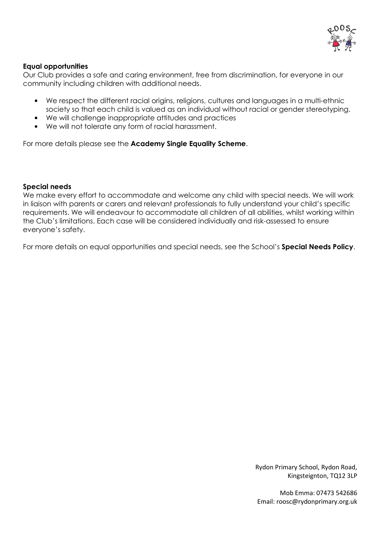

### **Equal opportunities**

Our Club provides a safe and caring environment, free from discrimination, for everyone in our community including children with additional needs.

- We respect the different racial origins, religions, cultures and languages in a multi-ethnic society so that each child is valued as an individual without racial or gender stereotyping.
- We will challenge inappropriate attitudes and practices
- We will not tolerate any form of racial harassment.

For more details please see the **Academy Single Equality Scheme**.

### **Special needs**

We make every effort to accommodate and welcome any child with special needs. We will work in liaison with parents or carers and relevant professionals to fully understand your child's specific requirements. We will endeavour to accommodate all children of all abilities, whilst working within the Club's limitations. Each case will be considered individually and risk-assessed to ensure everyone's safety.

For more details on equal opportunities and special needs, see the School's **Special Needs Policy**.

Rydon Primary School, Rydon Road, Kingsteignton, TQ12 3LP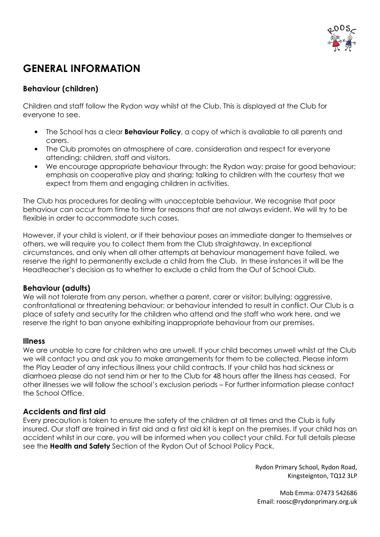

# **GENERAL INFORMATION**

# **Behaviour (children)**

Children and staff follow the Rydon way whilst at the Club. This is displayed at the Club for everyone to see.

- The School has a clear **Behaviour Policy**, a copy of which is available to all parents and carers.
- The Club promotes an atmosphere of care, consideration and respect for everyone attending: children, staff and visitors.
- We encourage appropriate behaviour through: the Rydon way; praise for good behaviour; emphasis on cooperative play and sharing; talking to children with the courtesy that we expect from them and engaging children in activities.

The Club has procedures for dealing with unacceptable behaviour. We recognise that poor behaviour can occur from time to time for reasons that are not always evident. We will try to be flexible in order to accommodate such cases.

However, if your child is violent, or if their behaviour poses an immediate danger to themselves or others, we will require you to collect them from the Club straightaway. In exceptional circumstances, and only when all other attempts at behaviour management have failed, we reserve the right to permanently exclude a child from the Club. In these instances it will be the Headteacher's decision as to whether to exclude a child from the Out of School Club.

### **Behaviour (adults)**

We will not tolerate from any person, whether a parent, carer or visitor; bullying; aggressive, confrontational or threatening behaviour; or behaviour intended to result in conflict. Our Club is a place of safety and security for the children who attend and the staff who work here, and we reserve the right to ban anyone exhibiting inappropriate behaviour from our premises.

### **Illness**

We are unable to care for children who are unwell. If your child becomes unwell whilst at the Club we will contact you and ask you to make arrangements for them to be collected. Please inform the Play Leader of any infectious illness your child contracts. If your child has had sickness or diarrhoea please do not send him or her to the Club for 48 hours after the illness has ceased. For other illnesses we will follow the school's exclusion periods – For further information please contact the School Office.

### **Accidents and first aid**

Every precaution is taken to ensure the safety of the children at all times and the Club is fully insured. Our staff are trained in first aid and a first aid kit is kept on the premises. If your child has an accident whilst in our care, you will be informed when you collect your child. For full details please see the **Health and Safety** Section of the Rydon Out of School Policy Pack.

> Rydon Primary School, Rydon Road, Kingsteignton, TQ12 3LP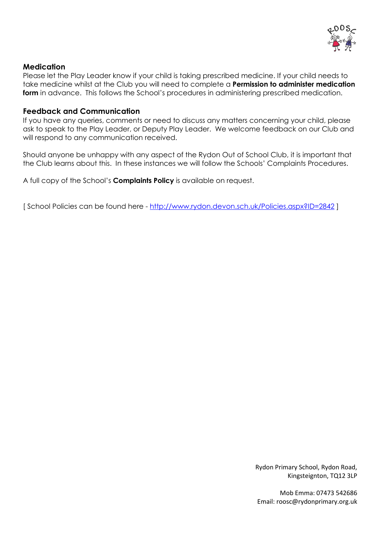

### **Medication**

Please let the Play Leader know if your child is taking prescribed medicine. If your child needs to take medicine whilst at the Club you will need to complete a **Permission to administer medication form** in advance. This follows the School's procedures in administering prescribed medication.

### **Feedback and Communication**

If you have any queries, comments or need to discuss any matters concerning your child, please ask to speak to the Play Leader, or Deputy Play Leader. We welcome feedback on our Club and will respond to any communication received.

Should anyone be unhappy with any aspect of the Rydon Out of School Club, it is important that the Club learns about this. In these instances we will follow the Schools' Complaints Procedures.

A full copy of the School's **Complaints Policy** is available on request.

[ School Policies can be found here - http://www.rydon.devon.sch.uk/Policies.aspx?ID=2842 ]

Rydon Primary School, Rydon Road, Kingsteignton, TQ12 3LP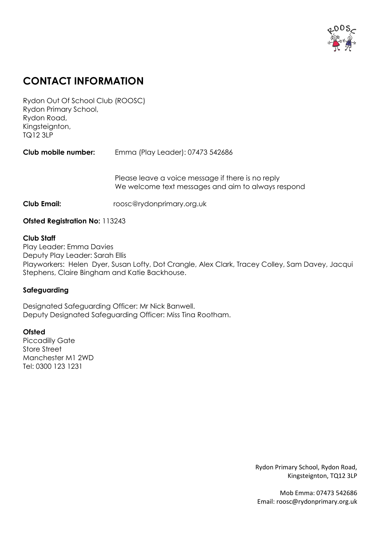

# **CONTACT INFORMATION**

Rydon Out Of School Club (ROOSC) Rydon Primary School, Rydon Road, Kingsteignton, TQ12 3LP

**Club mobile number:** Emma (Play Leader): 07473 542686

Please leave a voice message if there is no reply We welcome text messages and aim to always respond

**Club Email:** roosc@rydonprimary.org.uk

### **Ofsted Registration No:** 113243

### **Club Staff**

Play Leader: Emma Davies Deputy Play Leader: Sarah Ellis Playworkers: Helen Dyer, Susan Lofty, Dot Crangle, Alex Clark, Tracey Colley, Sam Davey, Jacqui Stephens, Claire Bingham and Katie Backhouse.

### **Safeguarding**

Designated Safeguarding Officer: Mr Nick Banwell. Deputy Designated Safeguarding Officer: Miss Tina Rootham.

### **Ofsted**

Piccadilly Gate Store Street Manchester M1 2WD Tel: 0300 123 1231

> Rydon Primary School, Rydon Road, Kingsteignton, TQ12 3LP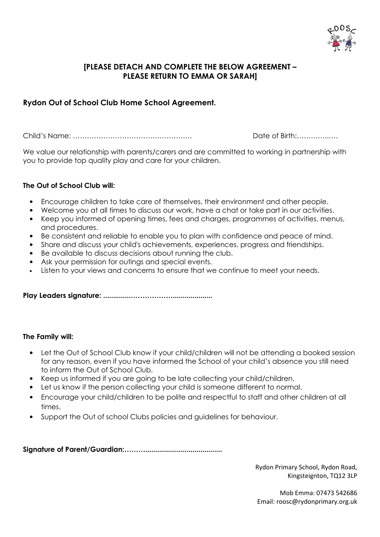

### **[PLEASE DETACH AND COMPLETE THE BELOW AGREEMENT – PLEASE RETURN TO EMMA OR SARAH]**

## **Rydon Out of School Club Home School Agreement.**

Child's Name: …………………………………………… Date of Birth:…………..….

We value our relationship with parents/carers and are committed to working in partnership with you to provide top quality play and care for your children.

### **The Out of School Club will:**

- Encourage children to take care of themselves, their environment and other people.
- Welcome you at all times to discuss our work, have a chat or take part in our activities.
- Keep you informed of opening times, fees and charges, programmes of activities, menus, and procedures.
- Be consistent and reliable to enable you to plan with confidence and peace of mind.
- Share and discuss your child's achievements, experiences, progress and friendships.
- Be available to discuss decisions about running the club.
- Ask your permission for outings and special events.
- Listen to your views and concerns to ensure that we continue to meet your needs.

**Play Leaders signature: ..............………………....................**

### **The Family will:**

- Let the Out of School Club know if your child/children will not be attending a booked session for any reason, even if you have informed the School of your child's absence you still need to inform the Out of School Club.
- Keep us informed if you are going to be late collecting your child/children.
- Let us know if the person collecting your child is someone different to normal.
- Encourage your child/children to be polite and respectful to staff and other children at all times.
- Support the Out of school Clubs policies and guidelines for behaviour.

**Signature of Parent/Guardian:……….......................................** 

Rydon Primary School, Rydon Road, Kingsteignton, TQ12 3LP